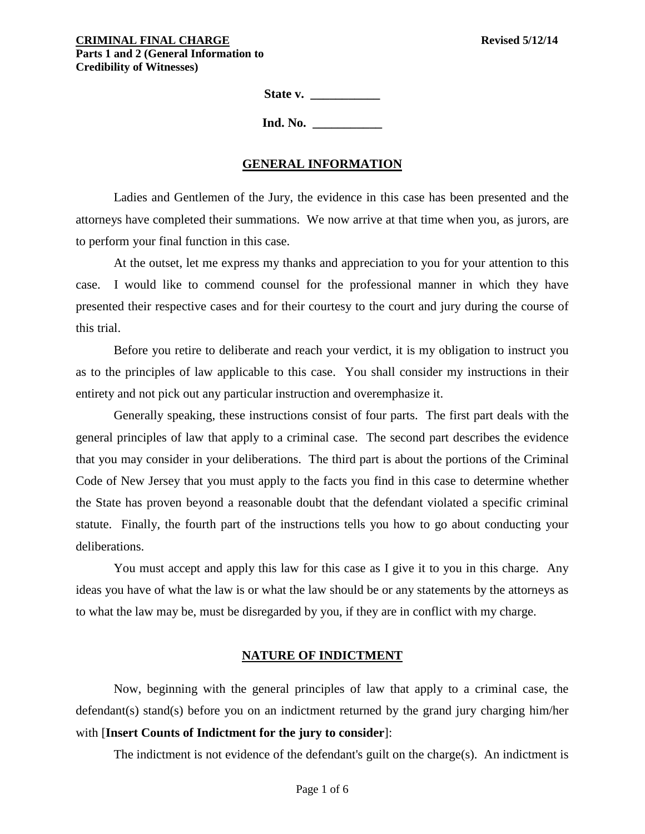**State v. \_\_\_\_\_\_\_\_\_\_\_**

**Ind. No. \_\_\_\_\_\_\_\_\_\_\_**

## **GENERAL INFORMATION**

Ladies and Gentlemen of the Jury, the evidence in this case has been presented and the attorneys have completed their summations. We now arrive at that time when you, as jurors, are to perform your final function in this case.

At the outset, let me express my thanks and appreciation to you for your attention to this case. I would like to commend counsel for the professional manner in which they have presented their respective cases and for their courtesy to the court and jury during the course of this trial.

Before you retire to deliberate and reach your verdict, it is my obligation to instruct you as to the principles of law applicable to this case. You shall consider my instructions in their entirety and not pick out any particular instruction and overemphasize it.

Generally speaking, these instructions consist of four parts. The first part deals with the general principles of law that apply to a criminal case. The second part describes the evidence that you may consider in your deliberations. The third part is about the portions of the Criminal Code of New Jersey that you must apply to the facts you find in this case to determine whether the State has proven beyond a reasonable doubt that the defendant violated a specific criminal statute. Finally, the fourth part of the instructions tells you how to go about conducting your deliberations.

You must accept and apply this law for this case as I give it to you in this charge. Any ideas you have of what the law is or what the law should be or any statements by the attorneys as to what the law may be, must be disregarded by you, if they are in conflict with my charge.

# **NATURE OF INDICTMENT**

<span id="page-0-0"></span>Now, beginning with the general principles of law that apply to a criminal case, the defendant(s) stand(s) before you on an indictment returned by the grand jury charging him/her with [**Insert Counts of Indictment for the jury to consider**]:

The indictment is not evidence of the defendant's guilt on the charge(s). An indictment is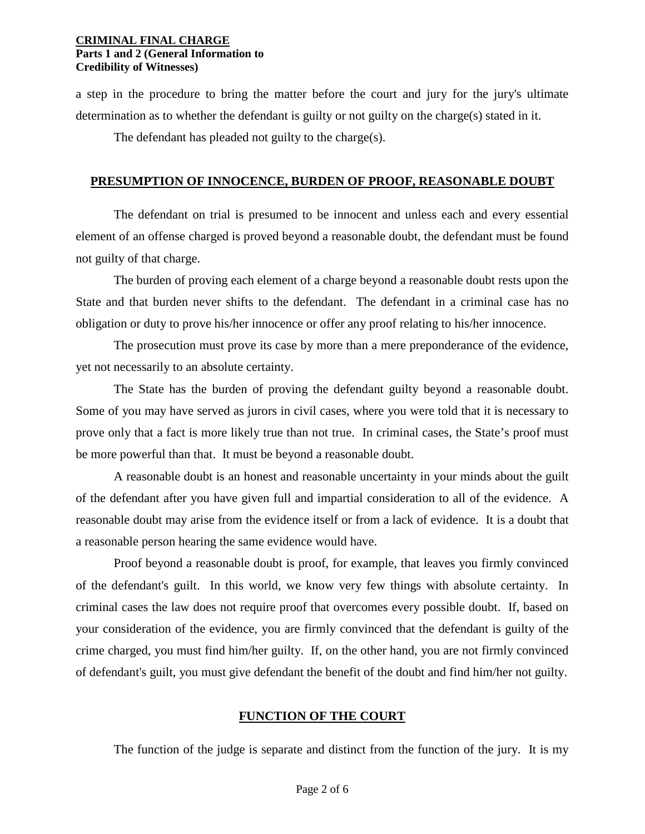a step in the procedure to bring the matter before the court and jury for the jury's ultimate determination as to whether the defendant is guilty or not guilty on the charge(s) stated in it.

The defendant has pleaded not guilty to the charge(s).

#### **PRESUMPTION OF INNOCENCE, BURDEN OF PROOF, REASONABLE DOUBT**

The defendant on trial is presumed to be innocent and unless each and every essential element of an offense charged is proved beyond a reasonable doubt, the defendant must be found not guilty of that charge.

The burden of proving each element of a charge beyond a reasonable doubt rests upon the State and that burden never shifts to the defendant. The defendant in a criminal case has no obligation or duty to prove his/her innocence or offer any proof relating to his/her innocence.

The prosecution must prove its case by more than a mere preponderance of the evidence, yet not necessarily to an absolute certainty.

The State has the burden of proving the defendant guilty beyond a reasonable doubt. Some of you may have served as jurors in civil cases, where you were told that it is necessary to prove only that a fact is more likely true than not true. In criminal cases, the State's proof must be more powerful than that. It must be beyond a reasonable doubt.

A reasonable doubt is an honest and reasonable uncertainty in your minds about the guilt of the defendant after you have given full and impartial consideration to all of the evidence. A reasonable doubt may arise from the evidence itself or from a lack of evidence. It is a doubt that a reasonable person hearing the same evidence would have.

Proof beyond a reasonable doubt is proof, for example, that leaves you firmly convinced of the defendant's guilt. In this world, we know very few things with absolute certainty. In criminal cases the law does not require proof that overcomes every possible doubt. If, based on your consideration of the evidence, you are firmly convinced that the defendant is guilty of the crime charged, you must find him/her guilty. If, on the other hand, you are not firmly convinced of defendant's guilt, you must give defendant the benefit of the doubt and find him/her not guilty.

## **FUNCTION OF THE COURT**

The function of the judge is separate and distinct from the function of the jury. It is my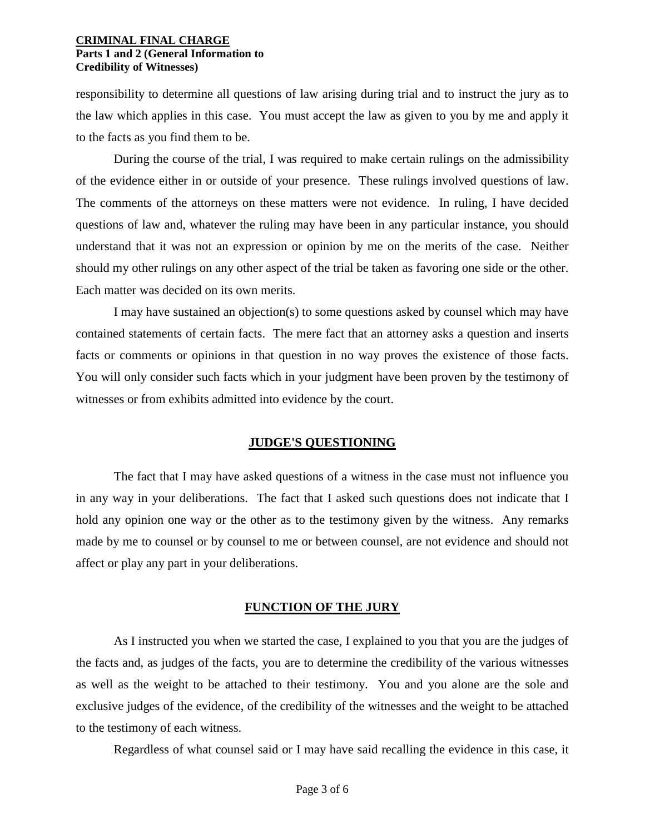responsibility to determine all questions of law arising during trial and to instruct the jury as to the law which applies in this case. You must accept the law as given to you by me and apply it to the facts as you find them to be.

During the course of the trial, I was required to make certain rulings on the admissibility of the evidence either in or outside of your presence. These rulings involved questions of law. The comments of the attorneys on these matters were not evidence. In ruling, I have decided questions of law and, whatever the ruling may have been in any particular instance, you should understand that it was not an expression or opinion by me on the merits of the case. Neither should my other rulings on any other aspect of the trial be taken as favoring one side or the other. Each matter was decided on its own merits.

I may have sustained an objection(s) to some questions asked by counsel which may have contained statements of certain facts. The mere fact that an attorney asks a question and inserts facts or comments or opinions in that question in no way proves the existence of those facts. You will only consider such facts which in your judgment have been proven by the testimony of witnesses or from exhibits admitted into evidence by the court.

#### **JUDGE'S QUESTIONING**

The fact that I may have asked questions of a witness in the case must not influence you in any way in your deliberations. The fact that I asked such questions does not indicate that I hold any opinion one way or the other as to the testimony given by the witness. Any remarks made by me to counsel or by counsel to me or between counsel, are not evidence and should not affect or play any part in your deliberations.

#### **FUNCTION OF THE JURY**

As I instructed you when we started the case, I explained to you that you are the judges of the facts and, as judges of the facts, you are to determine the credibility of the various witnesses as well as the weight to be attached to their testimony. You and you alone are the sole and exclusive judges of the evidence, of the credibility of the witnesses and the weight to be attached to the testimony of each witness.

Regardless of what counsel said or I may have said recalling the evidence in this case, it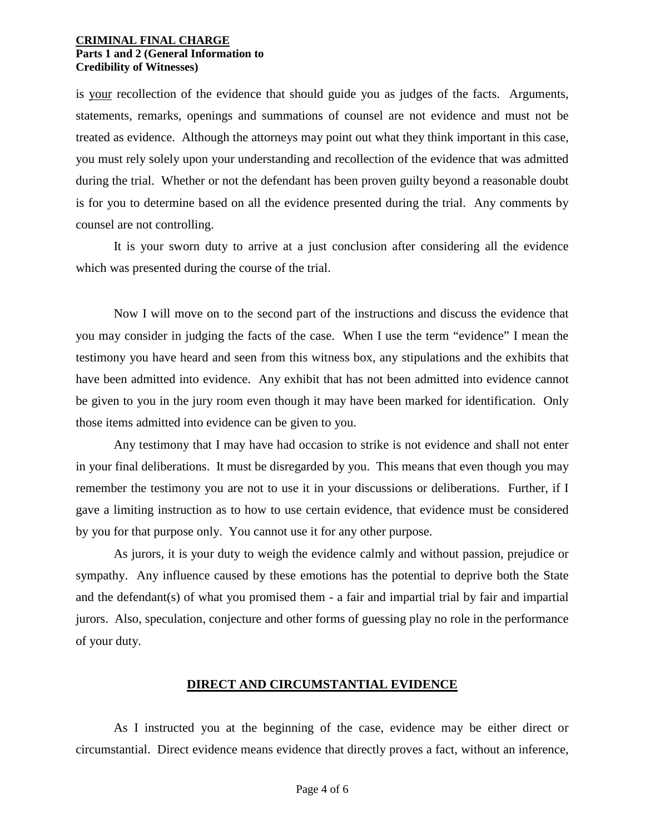is your recollection of the evidence that should guide you as judges of the facts. Arguments, statements, remarks, openings and summations of counsel are not evidence and must not be treated as evidence. Although the attorneys may point out what they think important in this case, you must rely solely upon your understanding and recollection of the evidence that was admitted during the trial. Whether or not the defendant has been proven guilty beyond a reasonable doubt is for you to determine based on all the evidence presented during the trial. Any comments by counsel are not controlling.

It is your sworn duty to arrive at a just conclusion after considering all the evidence which was presented during the course of the trial.

Now I will move on to the second part of the instructions and discuss the evidence that you may consider in judging the facts of the case. When I use the term "evidence" I mean the testimony you have heard and seen from this witness box, any stipulations and the exhibits that have been admitted into evidence. Any exhibit that has not been admitted into evidence cannot be given to you in the jury room even though it may have been marked for identification. Only those items admitted into evidence can be given to you.

Any testimony that I may have had occasion to strike is not evidence and shall not enter in your final deliberations. It must be disregarded by you. This means that even though you may remember the testimony you are not to use it in your discussions or deliberations. Further, if I gave a limiting instruction as to how to use certain evidence, that evidence must be considered by you for that purpose only. You cannot use it for any other purpose.

As jurors, it is your duty to weigh the evidence calmly and without passion, prejudice or sympathy. Any influence caused by these emotions has the potential to deprive both the State and the defendant(s) of what you promised them - a fair and impartial trial by fair and impartial jurors. Also, speculation, conjecture and other forms of guessing play no role in the performance of your duty.

#### **DIRECT AND CIRCUMSTANTIAL EVIDENCE**

As I instructed you at the beginning of the case, evidence may be either direct or circumstantial. Direct evidence means evidence that directly proves a fact, without an inference,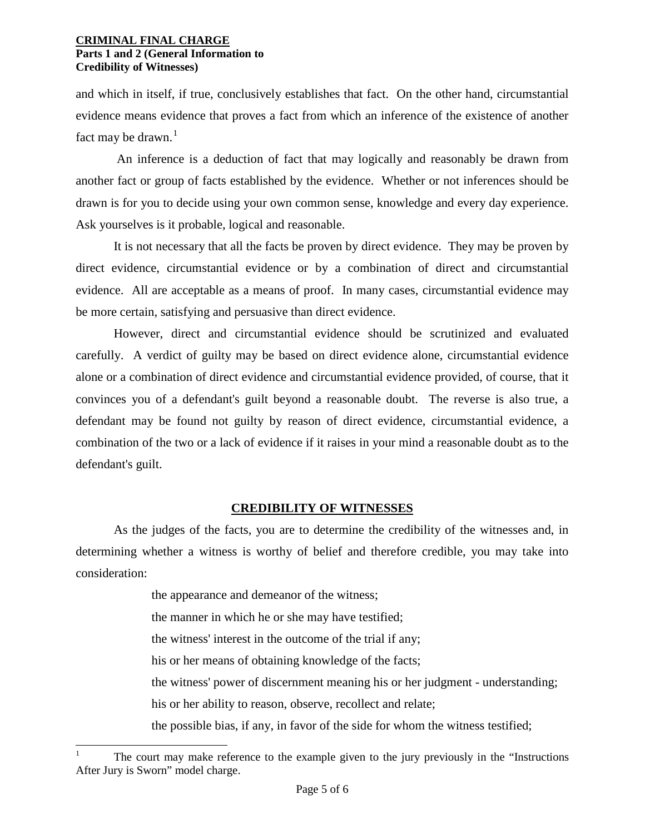and which in itself, if true, conclusively establishes that fact. On the other hand, circumstantial evidence means evidence that proves a fact from which an inference of the existence of another fact may be drawn. $<sup>1</sup>$  $<sup>1</sup>$  $<sup>1</sup>$ </sup>

An inference is a deduction of fact that may logically and reasonably be drawn from another fact or group of facts established by the evidence. Whether or not inferences should be drawn is for you to decide using your own common sense, knowledge and every day experience. Ask yourselves is it probable, logical and reasonable.

It is not necessary that all the facts be proven by direct evidence. They may be proven by direct evidence, circumstantial evidence or by a combination of direct and circumstantial evidence. All are acceptable as a means of proof. In many cases, circumstantial evidence may be more certain, satisfying and persuasive than direct evidence.

However, direct and circumstantial evidence should be scrutinized and evaluated carefully. A verdict of guilty may be based on direct evidence alone, circumstantial evidence alone or a combination of direct evidence and circumstantial evidence provided, of course, that it convinces you of a defendant's guilt beyond a reasonable doubt. The reverse is also true, a defendant may be found not guilty by reason of direct evidence, circumstantial evidence, a combination of the two or a lack of evidence if it raises in your mind a reasonable doubt as to the defendant's guilt.

## **CREDIBILITY OF WITNESSES**

As the judges of the facts, you are to determine the credibility of the witnesses and, in determining whether a witness is worthy of belief and therefore credible, you may take into consideration:

> the appearance and demeanor of the witness; the manner in which he or she may have testified; the witness' interest in the outcome of the trial if any; his or her means of obtaining knowledge of the facts; the witness' power of discernment meaning his or her judgment - understanding; his or her ability to reason, observe, recollect and relate; the possible bias, if any, in favor of the side for whom the witness testified;

<span id="page-4-0"></span>t The court may make reference to the example given to the jury previously in the "Instructions" After Jury is Sworn" model charge.